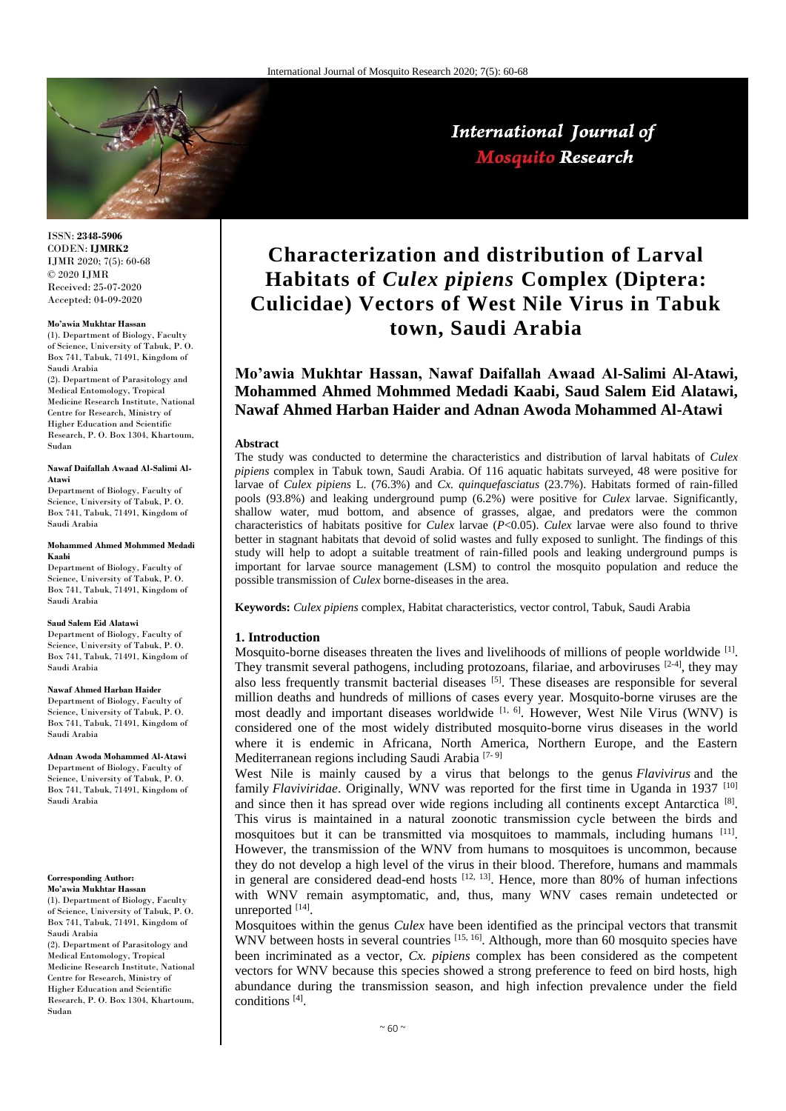

ISSN: **2348-5906** CODEN: **IJMRK2** IJMR 2020; 7(5): 60-68 © 2020 IJMR Received: 25-07-2020 Accepted: 04-09-2020

#### **Mo'awia Mukhtar Hassan**

(1). Department of Biology, Faculty of Science, University of Tabuk, P. O. Box 741, Tabuk, 71491, Kingdom of Saudi Arabia

(2). Department of Parasitology and Medical Entomology, Tropical Medicine Research Institute, National Centre for Research, Ministry of Higher Education and Scientific Research, P. O. Box 1304, Khartoum, Sudan

#### **Nawaf Daifallah Awaad Al-Salimi Al-Atawi**

Department of Biology, Faculty of Science, University of Tabuk, P. O. Box 741, Tabuk, 71491, Kingdom of Saudi Arabia

#### **Mohammed Ahmed Mohmmed Medadi Kaabi**

Department of Biology, Faculty of Science, University of Tabuk, P.O. Box 741, Tabuk, 71491, Kingdom of Saudi Arabia

#### **Saud Salem Eid Alatawi**

Department of Biology, Faculty of Science, University of Tabuk, P. O. Box 741, Tabuk, 71491, Kingdom of Saudi Arabia

#### **Nawaf Ahmed Harban Haider**

Department of Biology, Faculty of Science, University of Tabuk, P. O. Box 741, Tabuk, 71491, Kingdom of Saudi Arabia

**Adnan Awoda Mohammed Al-Atawi** Department of Biology, Faculty of Science, University of Tabuk, P. O. Box 741, Tabuk, 71491, Kingdom of Saudi Arabia

#### **Corresponding Author: Mo'awia Mukhtar Hassan**

(1). Department of Biology, Faculty of Science, University of Tabuk, P. O. Box 741, Tabuk, 71491, Kingdom of Saudi Arabia

(2). Department of Parasitology and Medical Entomology, Tropical Medicine Research Institute, National Centre for Research, Ministry of Higher Education and Scientific Research, P. O. Box 1304, Khartoum, Sudan

# **Characterization and distribution of Larval Habitats of** *Culex pipiens* **Complex (Diptera: Culicidae) Vectors of West Nile Virus in Tabuk town, Saudi Arabia**

# **Mo'awia Mukhtar Hassan, Nawaf Daifallah Awaad Al-Salimi Al-Atawi, Mohammed Ahmed Mohmmed Medadi Kaabi, Saud Salem Eid Alatawi, Nawaf Ahmed Harban Haider and Adnan Awoda Mohammed Al-Atawi**

#### **Abstract**

The study was conducted to determine the characteristics and distribution of larval habitats of *Culex pipiens* complex in Tabuk town, Saudi Arabia. Of 116 aquatic habitats surveyed, 48 were positive for larvae of *Culex pipiens* L. (76.3%) and *Cx. quinquefasciatus* (23.7%). Habitats formed of rain-filled pools (93.8%) and leaking underground pump (6.2%) were positive for *Culex* larvae. Significantly, shallow water, mud bottom, and absence of grasses, algae, and predators were the common characteristics of habitats positive for *Culex* larvae (*P*<0.05). *Culex* larvae were also found to thrive better in stagnant habitats that devoid of solid wastes and fully exposed to sunlight. The findings of this study will help to adopt a suitable treatment of rain-filled pools and leaking underground pumps is important for larvae source management (LSM) to control the mosquito population and reduce the possible transmission of *Culex* borne-diseases in the area.

**Keywords:** *Culex pipiens* complex, Habitat characteristics, vector control, Tabuk, Saudi Arabia

#### **1. Introduction**

Mosquito-borne diseases threaten the lives and livelihoods of millions of people worldwide  $^{[1]}$ . They transmit several pathogens, including protozoans, filariae, and arboviruses  $[2-4]$ , they may also less frequently transmit bacterial diseases [5]. These diseases are responsible for several million deaths and hundreds of millions of cases every year. Mosquito-borne viruses are the most deadly and important diseases worldwide  $[1, 6]$ . However, West Nile Virus (WNV) is considered one of the most widely distributed mosquito-borne virus diseases in the world where it is endemic in Africana, North America, Northern Europe, and the Eastern Mediterranean regions including Saudi Arabia [7- 9]

West Nile is mainly caused by a virus that belongs to the genus *Flavivirus* and the family *Flaviviridae*. Originally, WNV was reported for the first time in Uganda in 1937 [10] and since then it has spread over wide regions including all continents except Antarctica<sup>[8]</sup>. This virus is maintained in a natural zoonotic transmission cycle between the birds and mosquitoes but it can be transmitted via mosquitoes to mammals, including humans  $[11]$ . However, the transmission of the WNV from humans to mosquitoes is uncommon, because they do not develop a high level of the virus in their blood. Therefore, humans and mammals in general are considered dead-end hosts  $[12, 13]$ . Hence, more than 80% of human infections with WNV remain asymptomatic, and, thus, many WNV cases remain undetected or unreported [14].

Mosquitoes within the genus *Culex* have been identified as the principal vectors that transmit WNV between hosts in several countries  $^{[15, 16]}$ . Although, more than 60 mosquito species have been incriminated as a vector, *Cx. pipiens* complex has been considered as the competent vectors for WNV because this species showed a strong preference to feed on bird hosts, high abundance during the transmission season, and high infection prevalence under the field conditions [4] .

# International Journal of **Mosquito Research**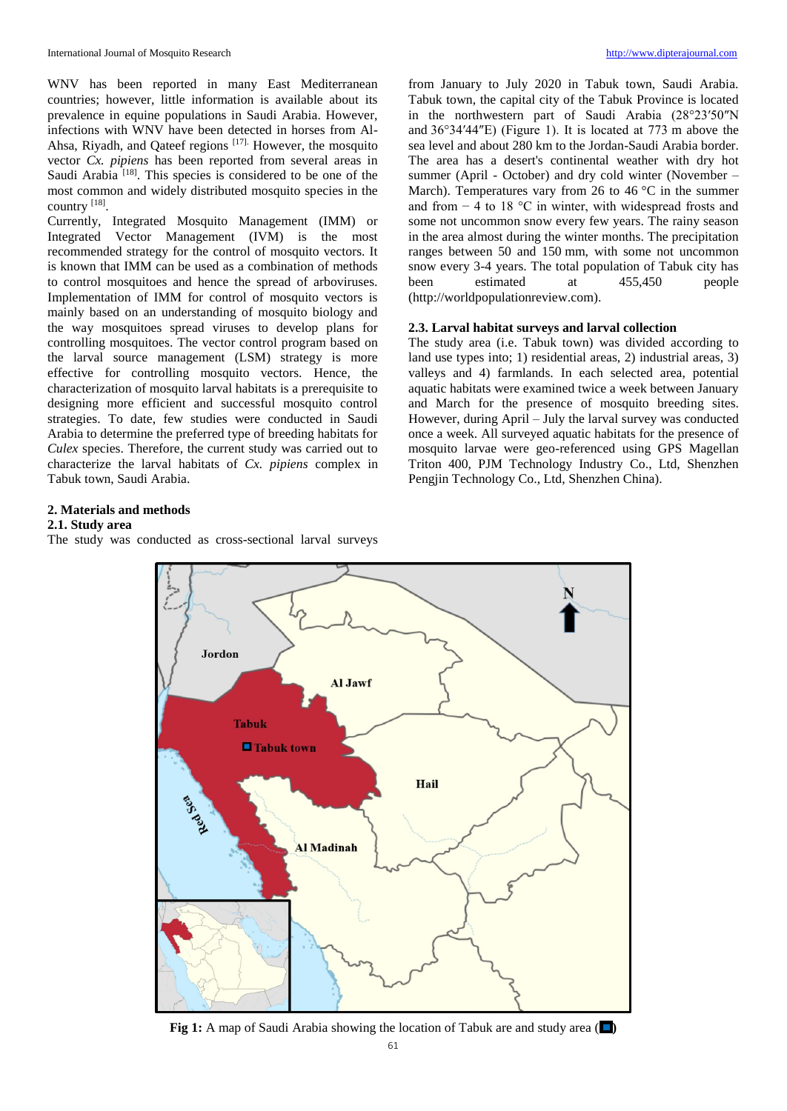WNV has been reported in many East Mediterranean countries; however, little information is available about its prevalence in equine populations in Saudi Arabia. However, infections with WNV have been detected in horses from Al-Ahsa, Riyadh, and Qateef regions [17]. However, the mosquito vector *Cx. pipiens* has been reported from several areas in Saudi Arabia<sup>[18]</sup>. This species is considered to be one of the most common and widely distributed mosquito species in the country [18].

Currently, Integrated Mosquito Management (IMM) or Integrated Vector Management (IVM) is the most recommended strategy for the control of mosquito vectors. It is known that IMM can be used as a combination of methods to control mosquitoes and hence the spread of arboviruses. Implementation of IMM for control of mosquito vectors is mainly based on an understanding of mosquito biology and the way mosquitoes spread viruses to develop plans for controlling mosquitoes. The vector control program based on the larval source management (LSM) strategy is more effective for controlling mosquito vectors. Hence, the characterization of mosquito larval habitats is a prerequisite to designing more efficient and successful mosquito control strategies. To date, few studies were conducted in Saudi Arabia to determine the preferred type of breeding habitats for *Culex* species. Therefore, the current study was carried out to characterize the larval habitats of *Cx. pipiens* complex in Tabuk town, Saudi Arabia.

from January to July 2020 in Tabuk town, Saudi Arabia. Tabuk town, the capital city of the Tabuk Province is located in the northwestern part of Saudi Arabia (28°23′50″N and 36°34′44″E) (Figure 1). It is located at 773 m above the sea level and about 280 km to the Jordan-Saudi Arabia border. The area has a desert's continental weather with dry hot summer (April - October) and dry cold winter (November – March). Temperatures vary from 26 to 46 °C in the summer and from − 4 to 18 °C in winter, with widespread frosts and some not uncommon snow every few years. The rainy season in the area almost during the winter months. The precipitation ranges between 50 and 150 mm, with some not uncommon snow every 3-4 years. The total population of Tabuk city has been estimated at 455,450 people (http://worldpopulationreview.com).

## **2.3. Larval habitat surveys and larval collection**

The study area (i.e. Tabuk town) was divided according to land use types into; 1) residential areas, 2) industrial areas, 3) valleys and 4) farmlands. In each selected area, potential aquatic habitats were examined twice a week between January and March for the presence of mosquito breeding sites. However, during April – July the larval survey was conducted once a week. All surveyed aquatic habitats for the presence of mosquito larvae were geo-referenced using GPS Magellan Triton 400, PJM Technology Industry Co., Ltd, Shenzhen Pengjin Technology Co., Ltd, Shenzhen China).

## **2. Materials and methods**

#### **2.1. Study area**

The study was conducted as cross-sectional larval surveys



**Fig 1:** A map of Saudi Arabia showing the location of Tabuk are and study area ( $\Box$ )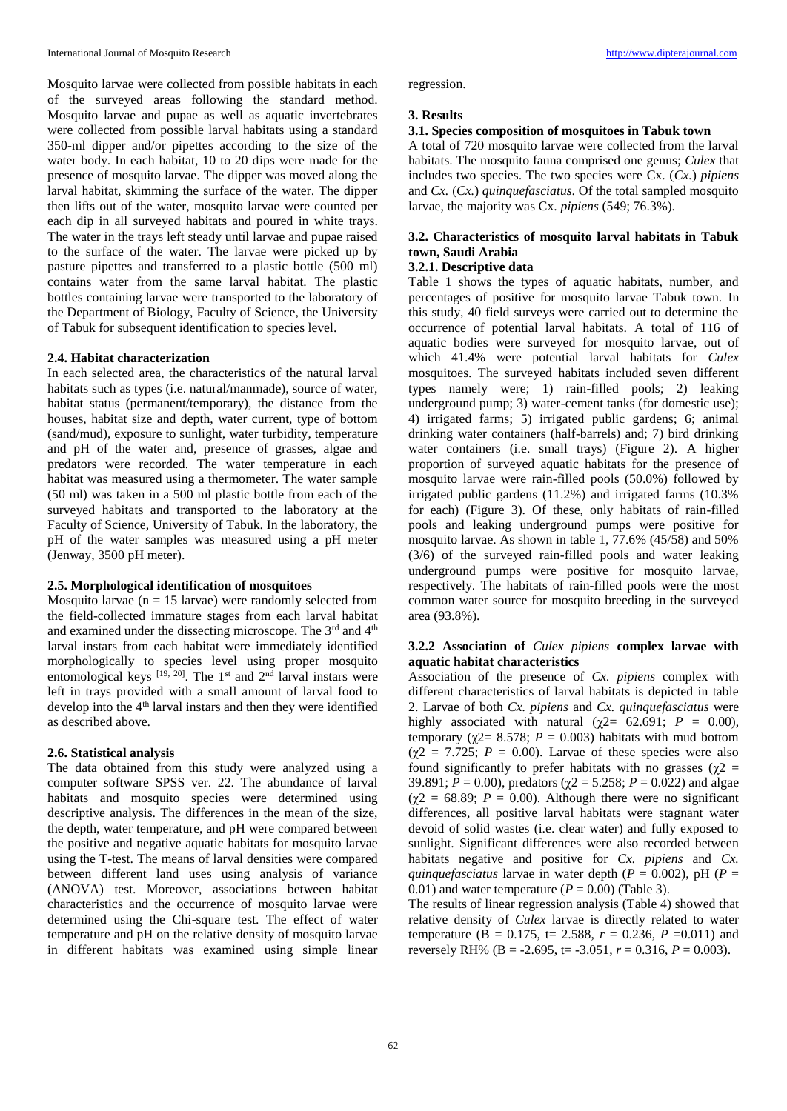Mosquito larvae were collected from possible habitats in each of the surveyed areas following the standard method. Mosquito larvae and pupae as well as aquatic invertebrates were collected from possible larval habitats using a standard 350-ml dipper and/or pipettes according to the size of the water body. In each habitat, 10 to 20 dips were made for the presence of mosquito larvae. The dipper was moved along the larval habitat, skimming the surface of the water. The dipper then lifts out of the water, mosquito larvae were counted per each dip in all surveyed habitats and poured in white trays. The water in the trays left steady until larvae and pupae raised to the surface of the water. The larvae were picked up by pasture pipettes and transferred to a plastic bottle (500 ml) contains water from the same larval habitat. The plastic bottles containing larvae were transported to the laboratory of the Department of Biology, Faculty of Science, the University of Tabuk for subsequent identification to species level.

### **2.4. Habitat characterization**

In each selected area, the characteristics of the natural larval habitats such as types (i.e. natural/manmade), source of water, habitat status (permanent/temporary), the distance from the houses, habitat size and depth, water current, type of bottom (sand/mud), exposure to sunlight, water turbidity, temperature and pH of the water and, presence of grasses, algae and predators were recorded. The water temperature in each habitat was measured using a thermometer. The water sample (50 ml) was taken in a 500 ml plastic bottle from each of the surveyed habitats and transported to the laboratory at the Faculty of Science, University of Tabuk. In the laboratory, the pH of the water samples was measured using a pH meter (Jenway, 3500 pH meter).

#### **2.5. Morphological identification of mosquitoes**

Mosquito larvae ( $n = 15$  larvae) were randomly selected from the field-collected immature stages from each larval habitat and examined under the dissecting microscope. The 3<sup>rd</sup> and 4<sup>th</sup> larval instars from each habitat were immediately identified morphologically to species level using proper mosquito entomological keys [19, 20]. The 1<sup>st</sup> and 2<sup>nd</sup> larval instars were left in trays provided with a small amount of larval food to develop into the  $4<sup>th</sup>$  larval instars and then they were identified as described above.

#### **2.6. Statistical analysis**

The data obtained from this study were analyzed using a computer software SPSS ver. 22. The abundance of larval habitats and mosquito species were determined using descriptive analysis. The differences in the mean of the size, the depth, water temperature, and pH were compared between the positive and negative aquatic habitats for mosquito larvae using the T-test. The means of larval densities were compared between different land uses using analysis of variance (ANOVA) test. Moreover, associations between habitat characteristics and the occurrence of mosquito larvae were determined using the Chi-square test. The effect of water temperature and pH on the relative density of mosquito larvae in different habitats was examined using simple linear

regression.

#### **3. Results**

## **3.1. Species composition of mosquitoes in Tabuk town**

A total of 720 mosquito larvae were collected from the larval habitats. The mosquito fauna comprised one genus; *Culex* that includes two species. The two species were Cx. (*Cx.*) *pipiens*  and *Cx.* (*Cx.*) *quinquefasciatus*. Of the total sampled mosquito larvae, the majority was Cx. *pipiens* (549; 76.3%).

## **3.2. Characteristics of mosquito larval habitats in Tabuk town, Saudi Arabia**

## **3.2.1. Descriptive data**

Table 1 shows the types of aquatic habitats, number, and percentages of positive for mosquito larvae Tabuk town. In this study, 40 field surveys were carried out to determine the occurrence of potential larval habitats. A total of 116 of aquatic bodies were surveyed for mosquito larvae, out of which 41.4% were potential larval habitats for *Culex*  mosquitoes. The surveyed habitats included seven different types namely were; 1) rain-filled pools; 2) leaking underground pump; 3) water-cement tanks (for domestic use); 4) irrigated farms; 5) irrigated public gardens; 6; animal drinking water containers (half-barrels) and; 7) bird drinking water containers (i.e. small trays) (Figure 2). A higher proportion of surveyed aquatic habitats for the presence of mosquito larvae were rain-filled pools (50.0%) followed by irrigated public gardens (11.2%) and irrigated farms (10.3% for each) (Figure 3). Of these, only habitats of rain-filled pools and leaking underground pumps were positive for mosquito larvae. As shown in table 1, 77.6% (45/58) and 50% (3/6) of the surveyed rain-filled pools and water leaking underground pumps were positive for mosquito larvae, respectively. The habitats of rain-filled pools were the most common water source for mosquito breeding in the surveyed area (93.8%).

## **3.2.2 Association of** *Culex pipiens* **complex larvae with aquatic habitat characteristics**

Association of the presence of *Cx. pipiens* complex with different characteristics of larval habitats is depicted in table 2. Larvae of both *Cx. pipiens* and *Cx. quinquefasciatus* were highly associated with natural ( $\chi$ 2= 62.691; *P* = 0.00), temporary ( $\chi$ 2= 8.578; *P* = 0.003) habitats with mud bottom  $(\gamma 2 = 7.725; P = 0.00)$ . Larvae of these species were also found significantly to prefer habitats with no grasses ( $χ2 =$ 39.891;  $P = 0.00$ ), predators ( $\chi$ 2 = 5.258;  $P = 0.022$ ) and algae ( $\chi$ 2 = 68.89; *P* = 0.00). Although there were no significant differences, all positive larval habitats were stagnant water devoid of solid wastes (i.e. clear water) and fully exposed to sunlight. Significant differences were also recorded between habitats negative and positive for *Cx. pipiens* and *Cx. quinquefasciatus* larvae in water depth ( $P = 0.002$ ), pH ( $P =$ 0.01) and water temperature  $(P = 0.00)$  (Table 3).

The results of linear regression analysis (Table 4) showed that relative density of *Culex* larvae is directly related to water temperature (B = 0.175, t= 2.588,  $r = 0.236$ ,  $P = 0.011$ ) and reversely RH% (B = -2.695, t= -3.051,  $r = 0.316$ ,  $P = 0.003$ ).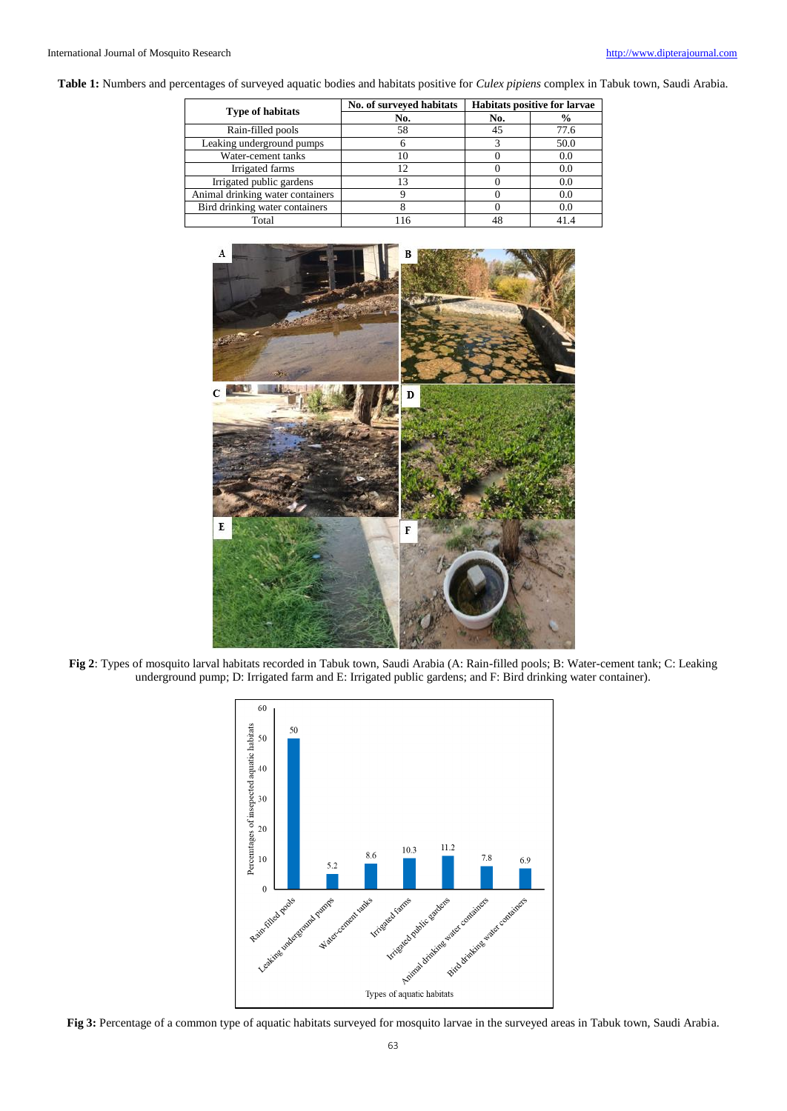**Table 1:** Numbers and percentages of surveyed aquatic bodies and habitats positive for *Culex pipiens* complex in Tabuk town, Saudi Arabia.

| <b>Type of habitats</b>          | No. of surveyed habitats | <b>Habitats positive for larvae</b> |               |
|----------------------------------|--------------------------|-------------------------------------|---------------|
|                                  | No.                      | No.                                 | $\frac{6}{9}$ |
| Rain-filled pools                | 58                       | 45                                  | 77.6          |
| Leaking underground pumps        |                          |                                     | 50.0          |
| Water-cement tanks               |                          |                                     | 0.0           |
| Irrigated farms                  |                          |                                     | 0.0           |
| Irrigated public gardens         |                          |                                     | 0.0           |
| Animal drinking water containers |                          |                                     | 0.0           |
| Bird drinking water containers   |                          |                                     | 0.0           |
| Total                            |                          | 48                                  | 41.4          |

![](_page_3_Picture_4.jpeg)

**Fig 2**: Types of mosquito larval habitats recorded in Tabuk town, Saudi Arabia (A: Rain-filled pools; B: Water-cement tank; C: Leaking underground pump; D: Irrigated farm and E: Irrigated public gardens; and F: Bird drinking water container).

![](_page_3_Figure_6.jpeg)

**Fig 3:** Percentage of a common type of aquatic habitats surveyed for mosquito larvae in the surveyed areas in Tabuk town, Saudi Arabia.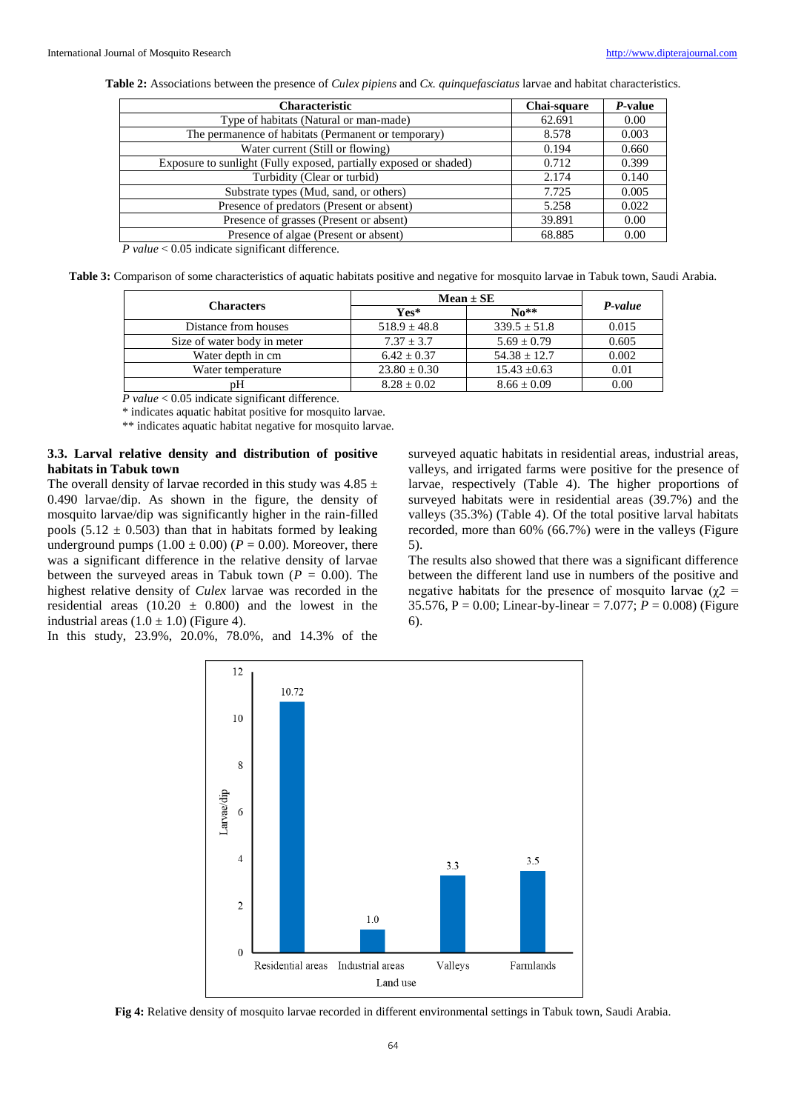| <b>Characteristic</b>                                             | Chai-square | P-value |
|-------------------------------------------------------------------|-------------|---------|
| Type of habitats (Natural or man-made)                            | 62.691      | 0.00    |
| The permanence of habitats (Permanent or temporary)               | 8.578       | 0.003   |
| Water current (Still or flowing)                                  | 0.194       | 0.660   |
| Exposure to sunlight (Fully exposed, partially exposed or shaded) | 0.712       | 0.399   |
| Turbidity (Clear or turbid)                                       | 2.174       | 0.140   |
| Substrate types (Mud, sand, or others)                            | 7.725       | 0.005   |
| Presence of predators (Present or absent)                         | 5.258       | 0.022   |
| Presence of grasses (Present or absent)                           | 39.891      | 0.00    |
| Presence of algae (Present or absent)                             | 68.885      | 0.00    |
| $D_{\text{total}} \geq 0.05$ indicate significant difference      |             |         |

*P value* < 0.05 indicate significant difference.

**Table 3:** Comparison of some characteristics of aquatic habitats positive and negative for mosquito larvae in Tabuk town, Saudi Arabia.

| Characters                  | $Mean \pm SE$    |                            |         |
|-----------------------------|------------------|----------------------------|---------|
|                             | $Yes*$           | $\mathbf{N}$ <sup>**</sup> | P-value |
| Distance from houses        | $518.9 \pm 48.8$ | $339.5 \pm 51.8$           | 0.015   |
| Size of water body in meter | $7.37 + 3.7$     | $5.69 \pm 0.79$            | 0.605   |
| Water depth in cm           | $6.42 + 0.37$    | $54.38 \pm 12.7$           | 0.002   |
| Water temperature           | $23.80 \pm 0.30$ | $15.43 \pm 0.63$           | 0.01    |
| nН                          | $8.28 \pm 0.02$  | $8.66 \pm 0.09$            | 0.00    |

*P value* < 0.05 indicate significant difference.

\* indicates aquatic habitat positive for mosquito larvae.

\*\* indicates aquatic habitat negative for mosquito larvae.

#### **3.3. Larval relative density and distribution of positive habitats in Tabuk town**

The overall density of larvae recorded in this study was  $4.85 \pm$ 0.490 larvae/dip. As shown in the figure, the density of mosquito larvae/dip was significantly higher in the rain-filled pools  $(5.12 \pm 0.503)$  than that in habitats formed by leaking underground pumps  $(1.00 \pm 0.00)$  ( $P = 0.00$ ). Moreover, there was a significant difference in the relative density of larvae between the surveyed areas in Tabuk town ( $P = 0.00$ ). The highest relative density of *Culex* larvae was recorded in the residential areas  $(10.20 \pm 0.800)$  and the lowest in the industrial areas  $(1.0 \pm 1.0)$  (Figure 4).

In this study, 23.9%, 20.0%, 78.0%, and 14.3% of the

surveyed aquatic habitats in residential areas, industrial areas, valleys, and irrigated farms were positive for the presence of larvae, respectively (Table 4). The higher proportions of surveyed habitats were in residential areas (39.7%) and the valleys (35.3%) (Table 4). Of the total positive larval habitats recorded, more than 60% (66.7%) were in the valleys (Figure 5).

The results also showed that there was a significant difference between the different land use in numbers of the positive and negative habitats for the presence of mosquito larvae ( $\chi$ 2 = 35.576, P = 0.00; Linear-by-linear = 7.077; *P* = 0.008) (Figure 6).

![](_page_4_Figure_15.jpeg)

**Fig 4:** Relative density of mosquito larvae recorded in different environmental settings in Tabuk town, Saudi Arabia.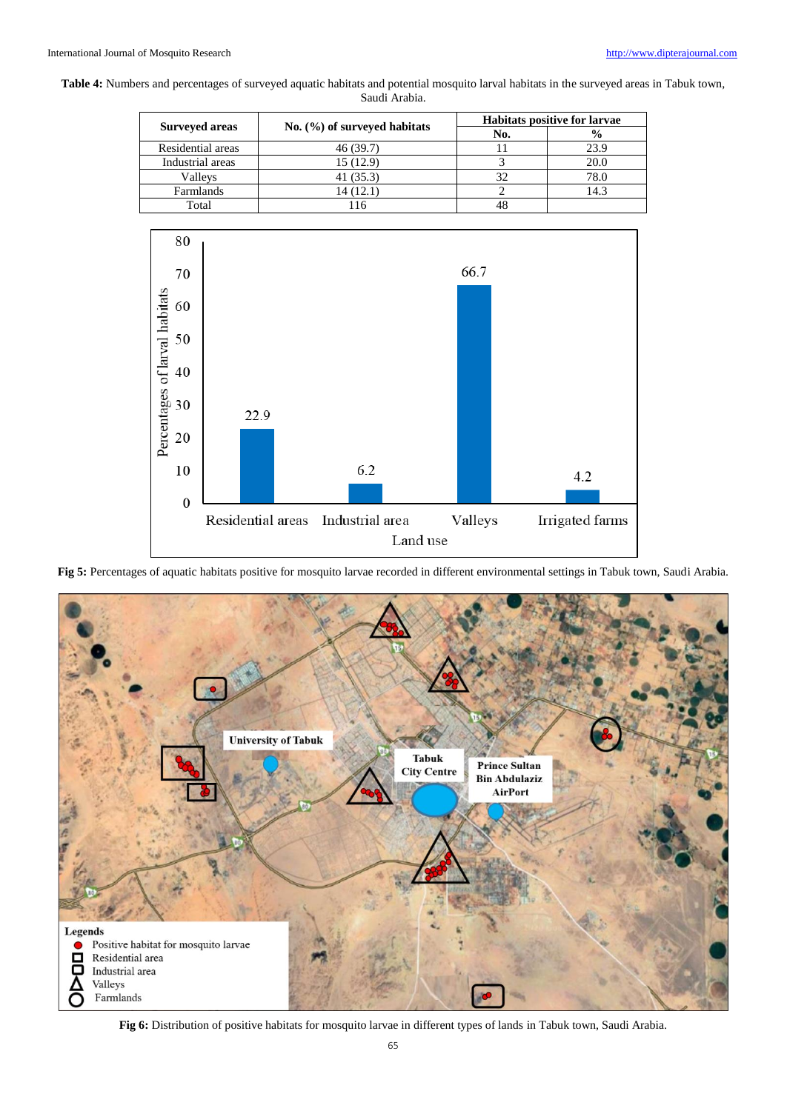#### **Table 4:** Numbers and percentages of surveyed aquatic habitats and potential mosquito larval habitats in the surveyed areas in Tabuk town, Saudi Arabia.

| <b>Surveyed areas</b> | No. $(\%)$ of surveyed habitats | <b>Habitats positive for larvae</b> |               |
|-----------------------|---------------------------------|-------------------------------------|---------------|
|                       |                                 | No.                                 | $\frac{6}{9}$ |
| Residential areas     | 46 (39.7)                       |                                     | 23.9          |
| Industrial areas      | 15(12.9)                        |                                     | 20.0          |
| Valleys               | 41 (35.3)                       | 32                                  | 78.0          |
| Farmlands             | 14 (12.1)                       |                                     | 14.3          |
| Total                 |                                 | 48                                  |               |

![](_page_5_Figure_4.jpeg)

**Fig 5:** Percentages of aquatic habitats positive for mosquito larvae recorded in different environmental settings in Tabuk town, Saudi Arabia.

![](_page_5_Figure_6.jpeg)

**Fig 6:** Distribution of positive habitats for mosquito larvae in different types of lands in Tabuk town, Saudi Arabia.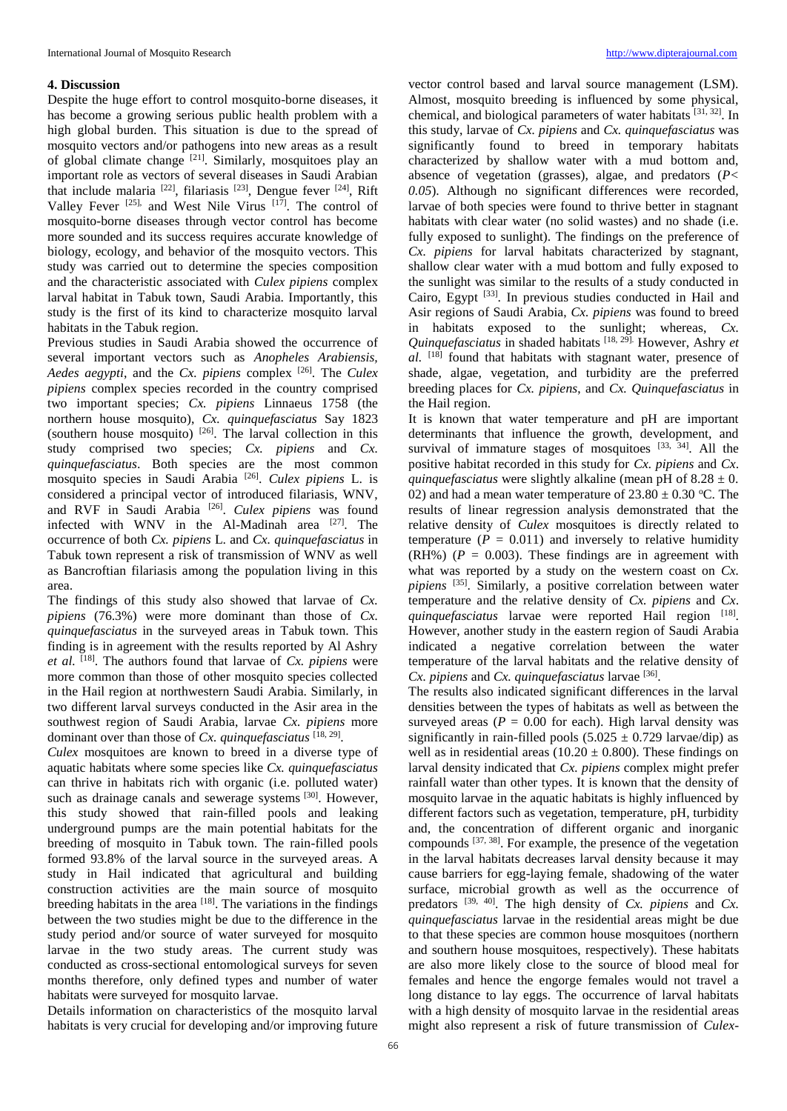#### **4. Discussion**

Despite the huge effort to control mosquito-borne diseases, it has become a growing serious public health problem with a high global burden. This situation is due to the spread of mosquito vectors and/or pathogens into new areas as a result of global climate change [21]. Similarly, mosquitoes play an important role as vectors of several diseases in Saudi Arabian that include malaria [22], filariasis [23], Dengue fever [24], Rift Valley Fever [25], and West Nile Virus [17]. The control of mosquito-borne diseases through vector control has become more sounded and its success requires accurate knowledge of biology, ecology, and behavior of the mosquito vectors. This study was carried out to determine the species composition and the characteristic associated with *Culex pipiens* complex larval habitat in Tabuk town, Saudi Arabia. Importantly, this study is the first of its kind to characterize mosquito larval habitats in the Tabuk region.

Previous studies in Saudi Arabia showed the occurrence of several important vectors such as *Anopheles Arabiensis, Aedes aegypti*, and the *Cx. pipiens* complex [26]. The *Culex pipiens* complex species recorded in the country comprised two important species; *Cx. pipiens* Linnaeus 1758 (the northern house mosquito), *Cx. quinquefasciatus* Say 1823 (southern house mosquito)  $[26]$ . The larval collection in this study comprised two species; *Cx. pipiens* and *Cx. quinquefasciatus*. Both species are the most common mosquito species in Saudi Arabia [26] . *Culex pipiens* L. is considered a principal vector of introduced filariasis, WNV, and RVF in Saudi Arabia<sup>[26]</sup>. *Culex pipiens* was found infected with WNV in the Al-Madinah area [27]. The occurrence of both *Cx. pipiens* L. and *Cx. quinquefasciatus* in Tabuk town represent a risk of transmission of WNV as well as Bancroftian filariasis among the population living in this area.

The findings of this study also showed that larvae of *Cx. pipiens* (76.3%) were more dominant than those of *Cx. quinquefasciatus* in the surveyed areas in Tabuk town. This finding is in agreement with the results reported by Al Ashry *et al.* [18]. The authors found that larvae of *Cx. pipiens* were more common than those of other mosquito species collected in the Hail region at northwestern Saudi Arabia. Similarly, in two different larval surveys conducted in the Asir area in the southwest region of Saudi Arabia, larvae *Cx. pipiens* more dominant over than those of *Cx. quinquefasciatus* [18, 29] .

*Culex* mosquitoes are known to breed in a diverse type of aquatic habitats where some species like *Cx. quinquefasciatus* can thrive in habitats rich with organic (i.e. polluted water) such as drainage canals and sewerage systems [30]. However, this study showed that rain-filled pools and leaking underground pumps are the main potential habitats for the breeding of mosquito in Tabuk town. The rain-filled pools formed 93.8% of the larval source in the surveyed areas. A study in Hail indicated that agricultural and building construction activities are the main source of mosquito breeding habitats in the area  $[18]$ . The variations in the findings between the two studies might be due to the difference in the study period and/or source of water surveyed for mosquito larvae in the two study areas. The current study was conducted as cross-sectional entomological surveys for seven months therefore, only defined types and number of water habitats were surveyed for mosquito larvae.

Details information on characteristics of the mosquito larval habitats is very crucial for developing and/or improving future

vector control based and larval source management (LSM). Almost, mosquito breeding is influenced by some physical, chemical, and biological parameters of water habitats [31, 32]. In this study, larvae of *Cx. pipiens* and *Cx. quinquefasciatus* was significantly found to breed in temporary habitats characterized by shallow water with a mud bottom and, absence of vegetation (grasses), algae, and predators (*P< 0.05*). Although no significant differences were recorded, larvae of both species were found to thrive better in stagnant habitats with clear water (no solid wastes) and no shade (i.e. fully exposed to sunlight). The findings on the preference of *Cx. pipiens* for larval habitats characterized by stagnant, shallow clear water with a mud bottom and fully exposed to the sunlight was similar to the results of a study conducted in Cairo, Egypt <a>[33]</a>. In previous studies conducted in Hail and Asir regions of Saudi Arabia, *Cx. pipiens* was found to breed in habitats exposed to the sunlight; whereas, *Cx. Quinquefasciatus* in shaded habitats [18, 29]. However, Ashry *et al.* [18] found that habitats with stagnant water, presence of shade, algae, vegetation, and turbidity are the preferred breeding places for *Cx. pipiens*, and *Cx. Quinquefasciatus* in the Hail region.

It is known that water temperature and pH are important determinants that influence the growth, development, and survival of immature stages of mosquitoes  $[33, 34]$ . All the positive habitat recorded in this study for *Cx. pipiens* and *Cx*. *quinquefasciatus* were slightly alkaline (mean pH of  $8.28 \pm 0$ . 02) and had a mean water temperature of  $23.80 \pm 0.30$  °C. The results of linear regression analysis demonstrated that the relative density of *Culex* mosquitoes is directly related to temperature  $(P = 0.011)$  and inversely to relative humidity  $(RH\%)$  ( $P = 0.003$ ). These findings are in agreement with what was reported by a study on the western coast on *Cx. pipiens* [35]. Similarly, a positive correlation between water temperature and the relative density of *Cx. pipiens* and *Cx*. quinquefasciatus larvae were reported Hail region [18]. However, another study in the eastern region of Saudi Arabia indicated a negative correlation between the water temperature of the larval habitats and the relative density of *Cx. pipiens* and *Cx. quinquefasciatus* larvae [36] .

The results also indicated significant differences in the larval densities between the types of habitats as well as between the surveyed areas  $(P = 0.00$  for each). High larval density was significantly in rain-filled pools  $(5.025 \pm 0.729 \text{ larvae/dip})$  as well as in residential areas ( $10.20 \pm 0.800$ ). These findings on larval density indicated that *Cx. pipiens* complex might prefer rainfall water than other types. It is known that the density of mosquito larvae in the aquatic habitats is highly influenced by different factors such as vegetation, temperature, pH, turbidity and, the concentration of different organic and inorganic compounds  $[37, 38]$ . For example, the presence of the vegetation in the larval habitats decreases larval density because it may cause barriers for egg-laying female, shadowing of the water surface, microbial growth as well as the occurrence of predators <sup>[39, 40]</sup>. The high density of *Cx. pipiens* and *Cx. quinquefasciatus* larvae in the residential areas might be due to that these species are common house mosquitoes (northern and southern house mosquitoes, respectively). These habitats are also more likely close to the source of blood meal for females and hence the engorge females would not travel a long distance to lay eggs. The occurrence of larval habitats with a high density of mosquito larvae in the residential areas might also represent a risk of future transmission of *Culex*-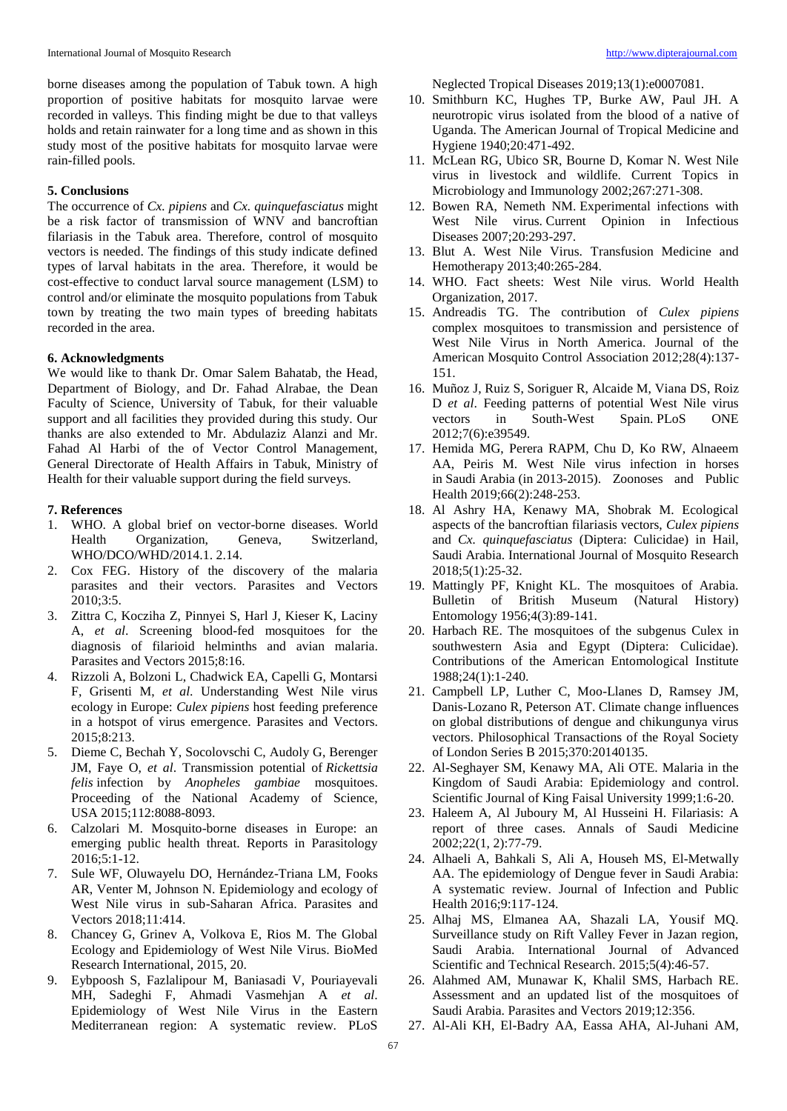borne diseases among the population of Tabuk town. A high proportion of positive habitats for mosquito larvae were recorded in valleys. This finding might be due to that valleys holds and retain rainwater for a long time and as shown in this study most of the positive habitats for mosquito larvae were rain-filled pools.

#### **5. Conclusions**

The occurrence of *Cx. pipiens* and *Cx. quinquefasciatus* might be a risk factor of transmission of WNV and bancroftian filariasis in the Tabuk area. Therefore, control of mosquito vectors is needed. The findings of this study indicate defined types of larval habitats in the area. Therefore, it would be cost-effective to conduct larval source management (LSM) to control and/or eliminate the mosquito populations from Tabuk town by treating the two main types of breeding habitats recorded in the area.

#### **6. Acknowledgments**

We would like to thank Dr. Omar Salem Bahatab, the Head, Department of Biology, and Dr. Fahad Alrabae, the Dean Faculty of Science, University of Tabuk, for their valuable support and all facilities they provided during this study. Our thanks are also extended to Mr. Abdulaziz Alanzi and Mr. Fahad Al Harbi of the of Vector Control Management, General Directorate of Health Affairs in Tabuk, Ministry of Health for their valuable support during the field surveys.

#### **7. References**

- 1. WHO. A global brief on vector-borne diseases. World Health Organization, Geneva, Switzerland, WHO/DCO/WHD/2014.1. 2.14.
- 2. Cox FEG. History of the discovery of the malaria parasites and their vectors. Parasites and Vectors 2010;3:5.
- 3. Zittra C, Kocziha Z, Pinnyei S, Harl J, Kieser K, Laciny A, *et al*. Screening blood-fed mosquitoes for the diagnosis of filarioid helminths and avian malaria. Parasites and Vectors 2015;8:16.
- 4. Rizzoli A, Bolzoni L, Chadwick EA, Capelli G, Montarsi F, Grisenti M, *et al*. Understanding West Nile virus ecology in Europe: *Culex pipiens* host feeding preference in a hotspot of virus emergence. Parasites and Vectors. 2015;8:213.
- 5. Dieme C, Bechah Y, Socolovschi C, Audoly G, Berenger JM, Faye O, *et al*. Transmission potential of *Rickettsia felis* infection by *Anopheles gambiae* mosquitoes. Proceeding of the National Academy of Science, USA 2015;112:8088-8093.
- 6. Calzolari M. Mosquito-borne diseases in Europe: an emerging public health threat. Reports in Parasitology 2016;5:1-12.
- 7. Sule WF, Oluwayelu DO, Hernández-Triana LM, Fooks AR, Venter M, Johnson N. Epidemiology and ecology of West Nile virus in sub-Saharan Africa. Parasites and Vectors 2018;11:414.
- 8. Chancey G, Grinev A, Volkova E, Rios M. The Global Ecology and Epidemiology of West Nile Virus. BioMed Research International, 2015, 20.
- 9. Eybpoosh S, Fazlalipour M, Baniasadi V, Pouriayevali MH, Sadeghi F, Ahmadi Vasmehjan A *et al*. Epidemiology of West Nile Virus in the Eastern Mediterranean region: A systematic review. PLoS

Neglected Tropical Diseases 2019;13(1):e0007081.

- 10. Smithburn KC, Hughes TP, Burke AW, Paul JH. A neurotropic virus isolated from the blood of a native of Uganda. The American Journal of Tropical Medicine and Hygiene 1940;20:471-492.
- 11. McLean RG, Ubico SR, Bourne D, Komar N. West Nile virus in livestock and wildlife. Current Topics in Microbiology and Immunology 2002;267:271-308.
- 12. Bowen RA, Nemeth NM. Experimental infections with West Nile virus. Current Opinion in Infectious Diseases 2007;20:293-297.
- 13. Blut A. West Nile Virus. Transfusion Medicine and Hemotherapy 2013;40:265-284.
- 14. WHO. Fact sheets: West Nile virus. World Health Organization, 2017.
- 15. Andreadis TG. The contribution of *Culex pipiens* complex mosquitoes to transmission and persistence of West Nile Virus in North America. Journal of the American Mosquito Control Association 2012;28(4):137- 151.
- 16. Muñoz J, Ruiz S, Soriguer R, Alcaide M, Viana DS, Roiz D *et al*. Feeding patterns of potential West Nile virus vectors in South-West Spain. PLoS ONE 2012;7(6):e39549.
- 17. Hemida MG, Perera RAPM, Chu D, Ko RW, Alnaeem AA, Peiris M. West Nile virus infection in horses in Saudi Arabia (in 2013-2015). Zoonoses and Public Health 2019;66(2):248-253.
- 18. Al Ashry HA, Kenawy MA, Shobrak M. Ecological aspects of the bancroftian filariasis vectors, *Culex pipiens* and *Cx. quinquefasciatus* (Diptera: Culicidae) in Hail, Saudi Arabia. International Journal of Mosquito Research 2018;5(1):25-32.
- 19. Mattingly PF, Knight KL. The mosquitoes of Arabia. Bulletin of British Museum (Natural History) Entomology 1956;4(3):89-141.
- 20. Harbach RE. The mosquitoes of the subgenus Culex in southwestern Asia and Egypt (Diptera: Culicidae). Contributions of the American Entomological Institute 1988;24(1):1-240.
- 21. Campbell LP, Luther C, Moo-Llanes D, Ramsey JM, Danis-Lozano R, Peterson AT. Climate change influences on global distributions of dengue and chikungunya virus vectors. Philosophical Transactions of the Royal Society of London Series B 2015;370:20140135.
- 22. Al-Seghayer SM, Kenawy MA, Ali OTE. Malaria in the Kingdom of Saudi Arabia: Epidemiology and control. Scientific Journal of King Faisal University 1999;1:6-20.
- 23. Haleem A, Al Juboury M, Al Husseini H. Filariasis: A report of three cases. Annals of Saudi Medicine 2002;22(1, 2):77-79.
- 24. Alhaeli A, Bahkali S, Ali A, Househ MS, El-Metwally AA. The epidemiology of Dengue fever in Saudi Arabia: A systematic review. Journal of Infection and Public Health 2016;9:117-124.
- 25. Alhaj MS, Elmanea AA, Shazali LA, Yousif MQ. Surveillance study on Rift Valley Fever in Jazan region, Saudi Arabia. International Journal of Advanced Scientific and Technical Research. 2015;5(4):46-57.
- 26. Alahmed AM, Munawar K, Khalil SMS, Harbach RE. Assessment and an updated list of the mosquitoes of Saudi Arabia. Parasites and Vectors 2019;12:356.
- 27. Al-Ali KH, El-Badry AA, Eassa AHA, Al-Juhani AM,